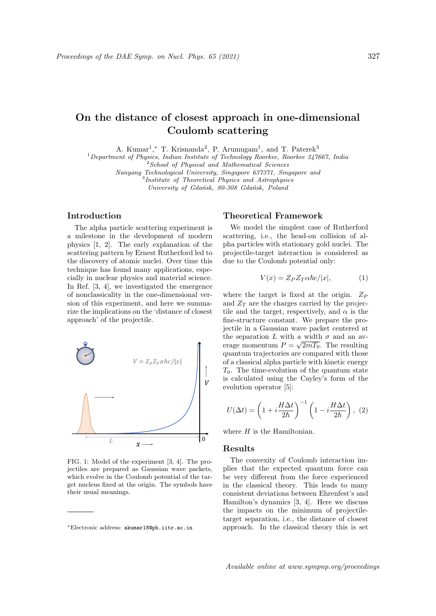# On the distance of closest approach in one-dimensional Coulomb scattering

A. Kumar<sup>1</sup>,\* T. Krisnanda<sup>2</sup>, P. Arumugam<sup>1</sup>, and T. Paterek<sup>3</sup>

 $1$ Department of Physics, Indian Institute of Technology Roorkee, Roorkee 247667, India

<sup>2</sup> School of Physical and Mathematical Sciences

Nanyang Technological University, Singapore 637371, Singapore and 3 Institute of Theoretical Physics and Astrophysics

University of Gdańsk, 80-308 Gdańsk, Poland

# Introduction

The alpha particle scattering experiment is a milestone in the development of modern physics [1, 2]. The early explanation of the scattering pattern by Ernest Rutherford led to the discovery of atomic nuclei. Over time this technique has found many applications, especially in nuclear physics and material science. In Ref. [3, 4], we investigated the emergence of nonclassicality in the one-dimensional version of this experiment, and here we summarize the implications on the 'distance of closest approach' of the projectile.



FIG. 1: Model of the experiment [3, 4]. The projectiles are prepared as Gaussian wave packets, which evolve in the Coulomb potential of the target nucleus fixed at the origin. The symbols have their usual meanings.

# Theoretical Framework

We model the simplest case of Rutherford scattering, i.e., the head-on collision of alpha particles with stationary gold nuclei. The projectile-target interaction is considered as due to the Coulomb potential only:

$$
V(x) = Z_P Z_T \alpha \hbar c / |x|, \tag{1}
$$

where the target is fixed at the origin.  $Z_P$ and  $Z_T$  are the charges carried by the projectile and the target, respectively, and  $\alpha$  is the fine-structure constant. We prepare the projectile in a Gaussian wave packet centered at the separation L with a width  $\sigma$  and an average momentum  $P = \sqrt{2mT_0}$ . The resulting quantum trajectories are compared with those of a classical alpha particle with kinetic energy  $T_0$ . The time-evolution of the quantum state is calculated using the Cayley's form of the evolution operator [5]:

$$
U(\Delta t) = \left(1 + i\frac{H\Delta t}{2\hbar}\right)^{-1} \left(1 - i\frac{H\Delta t}{2\hbar}\right), (2)
$$

where  $H$  is the Hamiltonian.

#### Results

The convexity of Coulomb interaction implies that the expected quantum force can be very different from the force experienced in the classical theory. This leads to many consistent deviations between Ehrenfest's and Hamilton's dynamics [3, 4]. Here we discuss the impacts on the minimum of projectiletarget separation, i.e., the distance of closest approach. In the classical theory this is set

<sup>∗</sup>Electronic address: akumar18@ph.iitr.ac.in